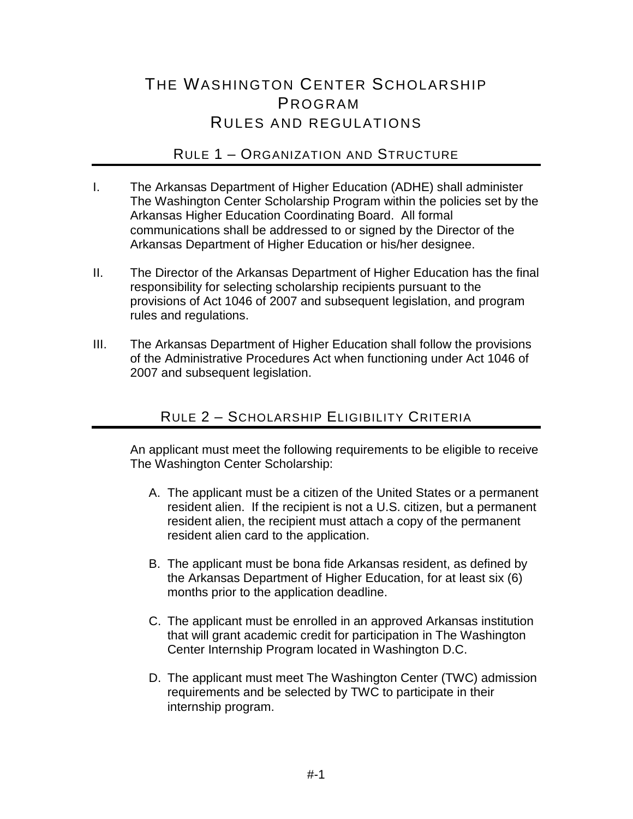# THE WASHINGTON CENTER SCHOLARSHIP PROGRAM RULES AND REGULATIONS

### RULE 1 – ORGANIZATION AND STRUCTURE

- I. The Arkansas Department of Higher Education (ADHE) shall administer The Washington Center Scholarship Program within the policies set by the Arkansas Higher Education Coordinating Board. All formal communications shall be addressed to or signed by the Director of the Arkansas Department of Higher Education or his/her designee.
- II. The Director of the Arkansas Department of Higher Education has the final responsibility for selecting scholarship recipients pursuant to the provisions of Act 1046 of 2007 and subsequent legislation, and program rules and regulations.
- III. The Arkansas Department of Higher Education shall follow the provisions of the Administrative Procedures Act when functioning under Act 1046 of 2007 and subsequent legislation.

### RULE 2 – SCHOLARSHIP ELIGIBILITY CRITERIA

An applicant must meet the following requirements to be eligible to receive The Washington Center Scholarship:

- A. The applicant must be a citizen of the United States or a permanent resident alien. If the recipient is not a U.S. citizen, but a permanent resident alien, the recipient must attach a copy of the permanent resident alien card to the application.
- B. The applicant must be bona fide Arkansas resident, as defined by the Arkansas Department of Higher Education, for at least six (6) months prior to the application deadline.
- C. The applicant must be enrolled in an approved Arkansas institution that will grant academic credit for participation in The Washington Center Internship Program located in Washington D.C.
- D. The applicant must meet The Washington Center (TWC) admission requirements and be selected by TWC to participate in their internship program.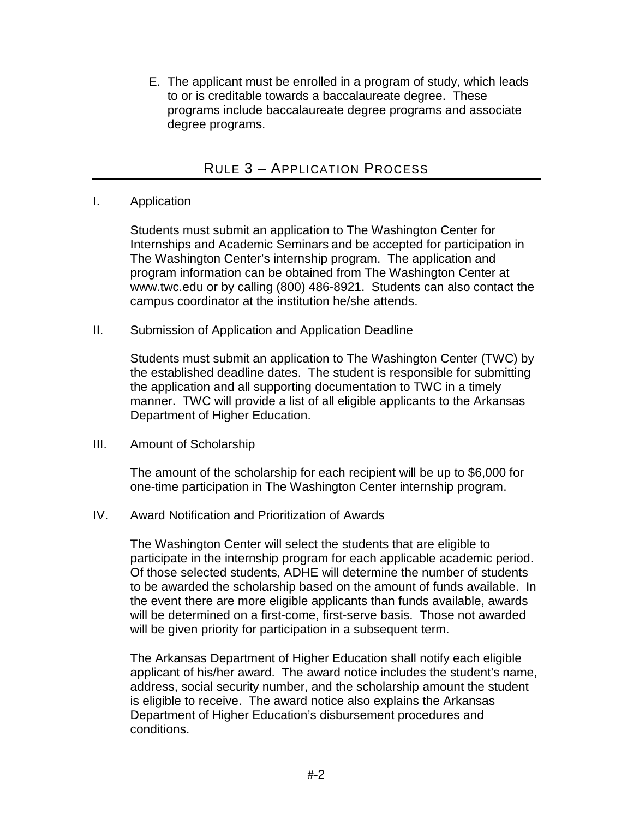E. The applicant must be enrolled in a program of study, which leads to or is creditable towards a baccalaureate degree. These programs include baccalaureate degree programs and associate degree programs.

### RULE 3 – APPLICATION PROCESS

#### I. Application

Students must submit an application to The Washington Center for Internships and Academic Seminars and be accepted for participation in The Washington Center's internship program. The application and program information can be obtained from The Washington Center at www.twc.edu or by calling (800) 486-8921. Students can also contact the campus coordinator at the institution he/she attends.

II. Submission of Application and Application Deadline

Students must submit an application to The Washington Center (TWC) by the established deadline dates. The student is responsible for submitting the application and all supporting documentation to TWC in a timely manner. TWC will provide a list of all eligible applicants to the Arkansas Department of Higher Education.

III. Amount of Scholarship

The amount of the scholarship for each recipient will be up to \$6,000 for one-time participation in The Washington Center internship program.

IV. Award Notification and Prioritization of Awards

The Washington Center will select the students that are eligible to participate in the internship program for each applicable academic period. Of those selected students, ADHE will determine the number of students to be awarded the scholarship based on the amount of funds available. In the event there are more eligible applicants than funds available, awards will be determined on a first-come, first-serve basis. Those not awarded will be given priority for participation in a subsequent term.

The Arkansas Department of Higher Education shall notify each eligible applicant of his/her award. The award notice includes the student's name, address, social security number, and the scholarship amount the student is eligible to receive. The award notice also explains the Arkansas Department of Higher Education's disbursement procedures and conditions.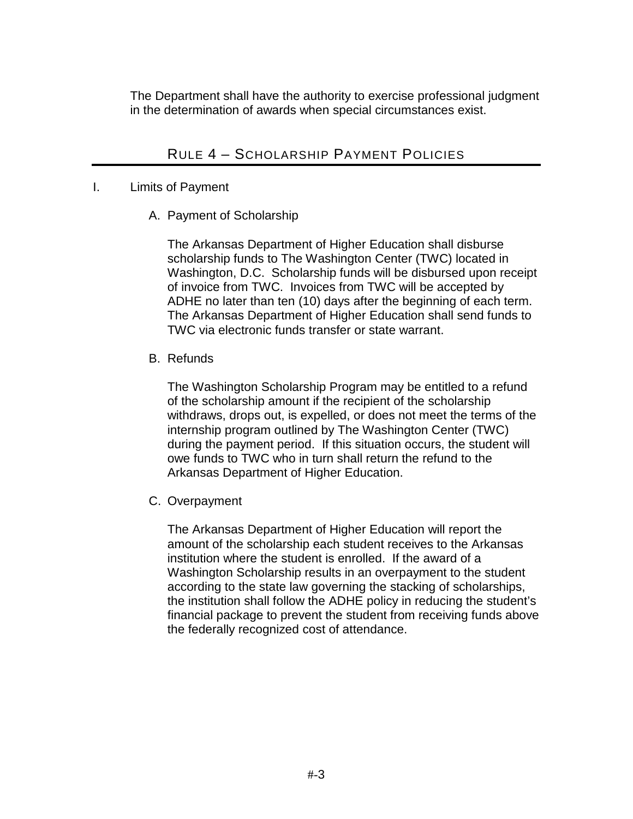The Department shall have the authority to exercise professional judgment in the determination of awards when special circumstances exist.

# RULE 4 – SCHOLARSHIP PAYMENT POLICIES

#### I. Limits of Payment

A. Payment of Scholarship

The Arkansas Department of Higher Education shall disburse scholarship funds to The Washington Center (TWC) located in Washington, D.C. Scholarship funds will be disbursed upon receipt of invoice from TWC. Invoices from TWC will be accepted by ADHE no later than ten (10) days after the beginning of each term. The Arkansas Department of Higher Education shall send funds to TWC via electronic funds transfer or state warrant.

#### B. Refunds

The Washington Scholarship Program may be entitled to a refund of the scholarship amount if the recipient of the scholarship withdraws, drops out, is expelled, or does not meet the terms of the internship program outlined by The Washington Center (TWC) during the payment period. If this situation occurs, the student will owe funds to TWC who in turn shall return the refund to the Arkansas Department of Higher Education.

C. Overpayment

The Arkansas Department of Higher Education will report the amount of the scholarship each student receives to the Arkansas institution where the student is enrolled. If the award of a Washington Scholarship results in an overpayment to the student according to the state law governing the stacking of scholarships, the institution shall follow the ADHE policy in reducing the student's financial package to prevent the student from receiving funds above the federally recognized cost of attendance.